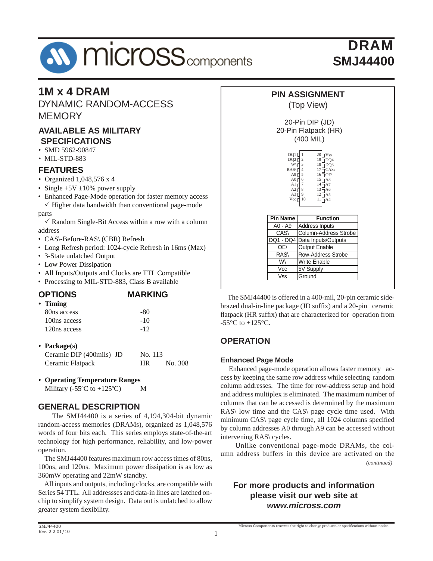# **M** micross<sub>components</sub>

## DRAM **SMJ44400**

## **1M x 4 DRAM**

DYNAMIC RANDOM-ACCESS **MEMORY** 

#### **AVAILABLE AS MILITARY SPECIFICATIONS**

- SMD 5962-90847
- MIL-STD-883

#### **FEATURES**

- Organized 1,048,576 x 4
- Single  $+5V \pm 10\%$  power supply
- Enhanced Page-Mode operation for faster memory access  $\checkmark$  Higher data bandwidth than conventional page-mode

parts

- $\checkmark$  Random Single-Bit Access within a row with a column address
- CAS\-Before-RAS\ (CBR) Refresh
- Long Refresh period: 1024-cycle Refresh in 16ms (Max)
- 3-State unlatched Output
- Low Power Dissipation
- All Inputs/Outputs and Clocks are TTL Compatible
- Processing to MIL-STD-883, Class B available

## **OPTIONS MARKING • Timing**

| 80ns access  | -80   |
|--------------|-------|
| 100ns access | $-10$ |
| 120ns access | $-12$ |

**• Package(s)**

| Ceramic DIP (400mils) JD | No. 113              |  |
|--------------------------|----------------------|--|
| Ceramic Flatpack         | No. 308<br><b>HR</b> |  |

**• Operating Temperature Ranges**

Military ( $-55^{\circ}$ C to  $+125^{\circ}$ C) M

#### **GENERAL DESCRIPTION**

 The SMJ44400 is a series of 4,194,304-bit dynamic random-access memories (DRAMs), organized as 1,048,576 words of four bits each. This series employs state-of-the-art technology for high performance, reliability, and low-power operation.

 The SMJ44400 features maximum row access times of 80ns, 100ns, and 120ns. Maximum power dissipation is as low as 360mW operating and 22mW standby.

 All inputs and outputs, including clocks, are compatible with Series 54 TTL. All addressses and data-in lines are latched onchip to simplify system design. Data out is unlatched to allow greater system flexibility.



| <b>Pin Name</b> | <b>Function</b>               |
|-----------------|-------------------------------|
| A0 - A9         | Address Inputs                |
| CAS\            | Column-Address Strobe         |
|                 | DQ1 - DQ4 Data Inputs/Outputs |
| OE\             | <b>Output Enable</b>          |
| RAS\            | <b>Row-Address Strobe</b>     |
| W۱              | <b>Write Enable</b>           |
| Vcc             | 5V Supply                     |
| Vss             | Ground                        |

 The SMJ44400 is offered in a 400-mil, 20-pin ceramic sidebrazed dual-in-line package  $(JD)$  suffix) and a 20-pin ceramic flatpack (HR suffix) that are characterized for operation from  $-55^{\circ}$ C to  $+125^{\circ}$ C.

## **OPERATION**

#### **Enhanced Page Mode**

 Enhanced page-mode operation allows faster memory access by keeping the same row address while selecting random column addresses. The time for row-address setup and hold and address multiplex is eliminated. The maximum number of columns that can be accessed is determined by the maximum RAS\ low time and the CAS\ page cycle time used. With minimum CAS\ page cycle time, all 1024 columns specified by column addresses A0 through A9 can be accessed without intervening RAS\ cycles.

 Unlike conventional page-mode DRAMs, the column address buffers in this device are activated on the  *(continued)*

#### **For more products and information please visit our web site at** *www.micross.com*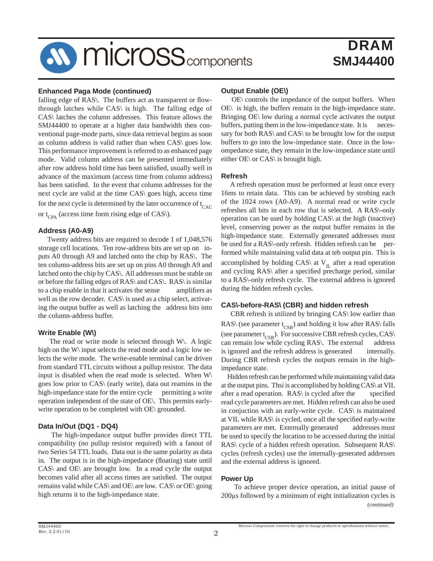# **AV MICrOSS** components

## DRAM **SMJ44400**

#### **Enhanced Paga Mode (continued)**

falling edge of RAS. The buffers act as transparent or flowthrough latches while CAS\ is high. The falling edge of CAS\ latches the column addresses. This feature allows the SMJ44400 to operate at a higher data bandwidth then conventional page-mode parts, since data retrieval begins as soon as column address is valid rather than when CAS\ goes low. This performance improvement is referred to as enhanced page mode. Valid column address can be presented immediately after row address hold time has been satisfied, usually well in advance of the maximum (access time from column address) has been satisfied. In the event that column addresses for the next cycle are valid at the time CAS\ goes high, access time for the next cycle is determined by the later occurrence of  $t_{CAC}$ or  $t_{CPA}$  (access time form rising edge of CAS).

#### **Address (A0-A9)**

 Twenty address bits are required to decode 1 of 1,048,576 storage cell locations. Ten row-address bits are set up on inputs A0 through A9 and latched onto the chip by RAS\. The ten column-address bits are set up on pins A0 through A9 and latched onto the chip by CAS\. All addresses must be stable on or before the falling edges of RAS\ and CAS\. RAS\ is similar to a chip enable in that it activates the sense amplifiers as well as the row decoder. CAS\ is used as a chip select, activating the output buffer as well as latching the address bits into the column-address buffer.

#### **Write Enable (W\)**

 The read or write mode is selected through W\. A logic high on the W\ input selects the read mode and a logic low selects the write mode. The write-enable terminal can be driven from standard TTL circuits without a pullup resistor. The data input is disabled when the read mode is selected. When W\ goes low prior to CAS\ (early write), data out reamins in the high-impedance state for the entire cycle permitting a write operation independent of the state of OE\. This permits earlywrite operation to be completed with OE\ grounded.

#### **Data In/Out (DQ1 - DQ4)**

 The high-impedance output buffer provides direct TTL compatibility (no pullup resistor required) with a fanout of two Series 54 TTL loads. Data out is the same polarity as data in. The output is in the high-impedance (floating) state until CAS\ and OE\ are brought low. In a read cycle the output becomes valid after all access times are satisfied. The output remains valid while CAS\ and OE\ are low. CAS\ or OE\ going high returns it to the high-impedance state.

#### **Output Enable (OE\)**

 OE\ controls the impedance of the output buffers. When OE\ is high, the buffers remain in the high-impedance state. Bringing OE\ low during a normal cycle activates the output buffers, putting them in the low-impedance state. It is necessary for both RAS\ and CAS\ to be brought low for the output buffers to go into the low-impedance state. Once in the lowompedance state, they remain in the low-impedance state until either OE\ or CAS\ is brought high.

#### **Refresh**

 A refresh operation must be performed at least once every 16ms to retain data. This can be achieved by strobing each of the 1024 rows (A0-A9). A normal read or write cycle refreshes all bits in each row that is selected. A RAS\-only operation can be used by holding CAS\ at the high (inactive) level, conserving power as the output buffer remains in the high-impedance state. Externally generated addresses must be used for a RAS\-only refresh. Hidden refresh can be performed while maintaining valid data at teh output pin. This is accomplished by holding CAS\ at  $V_{II}$  after a read operation and cycling RAS\ after a specified precharge period, similar to a RAS\-only refresh cycle. The external address is ignored during the hidden refresh cycles.

#### **CAS\-before-RAS\ (CBR) and hidden refresh**

 CBR refresh is utilized by bringing CAS\ low earlier than RAS\ (see parameter  $t_{CSR}$ ) and holding it low after RAS\ falls (see parameter  $t_{\text{CSR}}$ ). For successive CBR refresh cycles, CAS\ can remain low while cycling RAS\. The external address can remain low while cycling RAS. The external is ignored and the refresh address is generated internally. During CBR refresh cycles the outputs remain in the highimpedance state.

 Hidden refresh can be performed while maintaining valid data at the output pins. Thsi is accomplished by holding CAS\ at VIL after a read operation.  $RAS \$  is cycled after the specified read cycle parameters are met. Hidden refresh can also be used in conjuction with an early-write cycle. CAS\ is maintained at VIL while RAS\ is cycled, once all the specified early-write parameters are met. Externally generated addresses must be used to specify the location to be accessed during the initial RAS\ cycle of a hidden refresh operation. Subsequent RAS\ cycles (refresh cycles) use the internally-generated addresses and the external address is ignored.

#### **Power Up**

 To achieve proper device operation, an initial pause of 200μs followed by a minimum of eight initialization cycles is *(continued)*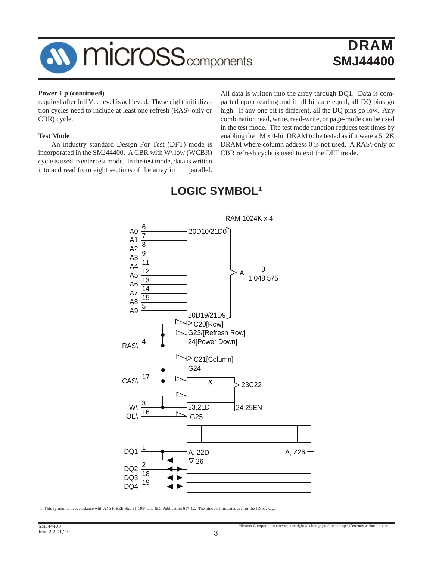

## **DRAM SMJ44400**

#### **Power Up (continued)**

required after full Vcc level is achieved. These eight initialization cycles need to include at least one refresh (RAS\-only or CBR) cycle.

#### **Test Mode**

 An industry standard Design For Test (DFT) mode is incorporated in the SMJ44400. A CBR with W\ low (WCBR) cycle is used to enter test mode. In the test mode, data is written into and read from eight sections of the array in parallel.

All data is written into the array through DQ1. Data is comparted upon reading and if all bits are equal, all DQ pins go high. If any one bit is different, all the DQ pins go low. Any combination read, write, read-write, or page-mode can be used in the test mode. The test mode function reduces test times by enabling the 1M x 4-bit DRAM to be tested as if it were a 512K DRAM where column address 0 is not used. A RAS\-only or CBR refresh cycle is used to exit the DFT mode.



## **LOGIC SYMBOL1**

1. This symbol is in accordance with ANSI/IEEE Std. 91-1984 and IEC Publication 617-12. The pinouts illustrated are for the JD package.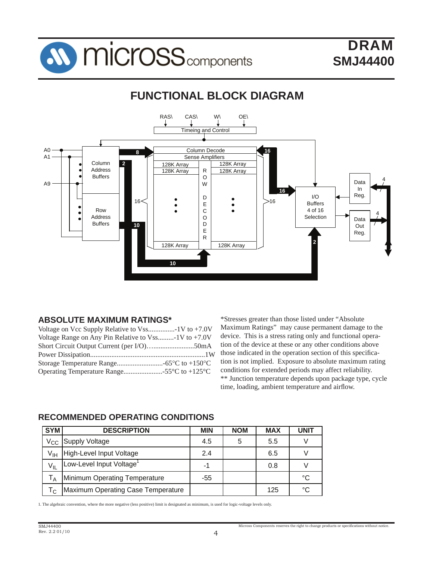

#### RAS\ CAS\ W\ OE\ Timeing and Control A0 Column Decode **16 8** A1 Sense Amplifiers Column 128K Array **2** 128K Array Address R 128K Array 128K Array Buffers O 4 Data A9 W In **16** I/O Reg. D 16  $\lt$  |  $\cdot$  |  $\cdot$  |  $\lt$  |  $\gt$ 16 E Buffers  $\bullet$ C 4 of 16 Row  $\bullet$ 4 Address O Selection Data Buffers **10** D Out E Reg. R **2** 128K Array | 128K Array **10**

## **FUNCTIONAL BLOCK DIAGRAM**

## **ABSOLUTE MAXIMUM RATINGS\***

| Voltage Range on Any Pin Relative to $V$ ss-1V to +7.0V |
|---------------------------------------------------------|
|                                                         |
|                                                         |
|                                                         |
|                                                         |
|                                                         |

\*Stresses greater than those listed under "Absolute Maximum Ratings" may cause permanent damage to the device. This is a stress rating only and functional operation of the device at these or any other conditions above those indicated in the operation section of this specification is not implied. Exposure to absolute maximum rating conditions for extended periods may affect reliability. \*\* Junction temperature depends upon package type, cycle time, loading, ambient temperature and airflow.

## **RECOMMENDED OPERATING CONDITIONS**

| <b>SYM</b>                | <b>DESCRIPTION</b>                 | <b>MIN</b> | <b>NOM</b> | <b>MAX</b> | <b>UNIT</b> |
|---------------------------|------------------------------------|------------|------------|------------|-------------|
|                           | V <sub>CC</sub> Supply Voltage     | 4.5        |            | 5.5        |             |
| V <sub>IH</sub>           | High-Level Input Voltage           | 2.4        |            | 6.5        |             |
| $V_{IL}$                  | Low-Level Input Voltage            | -1         |            | 0.8        |             |
| $\mathsf{L}_{\mathsf{A}}$ | Minimum Operating Temperature      | -55        |            |            | °C          |
| ۱c.                       | Maximum Operating Case Temperature |            |            | 125        | °C          |

1. The algebraic convention, where the more negative (less positive) limit is designated as minimum, is used for logic-voltage levels only.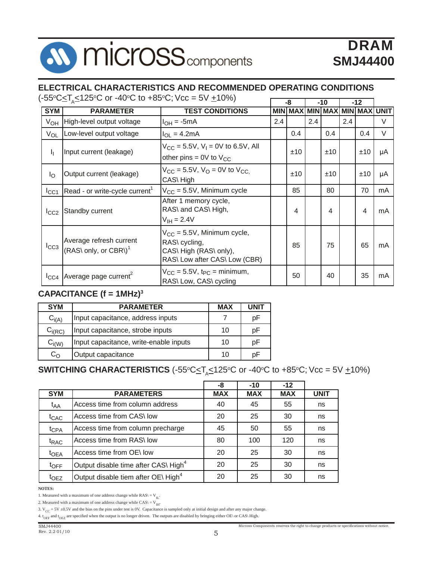# **AV MICrOSS** components

# DRAM **SMJ44400**

## **ELECTRICAL CHARACTERISTICS AND RECOMMENDED OPERATING CONDITIONS**

SYM | PARAMETER | TEST CONDITIONS |MIN|MAX|MIN|MAX|MIN|MAX|UNIT **-8 -10 -12** (-55°C<u><</u>T<sub>A</sub>≤125°C or -40°C to +85°C; Vcc = 5V <u>+</u>10%)

| SYM              | <b>PARAMEIER</b>                                             | IESI CONDITIONS                                                                                              |     |     |     | MIN   MAX   MIN   MAX   MIN   MAX   UNI I |     |     |    |
|------------------|--------------------------------------------------------------|--------------------------------------------------------------------------------------------------------------|-----|-----|-----|-------------------------------------------|-----|-----|----|
| $V_{OH}$         | High-level output voltage                                    | $I_{OH} = -5mA$                                                                                              | 2.4 |     | 2.4 |                                           | 2.4 |     | V  |
| $V_{OL}$         | Low-level output voltage                                     | $I_{OL} = 4.2mA$                                                                                             |     | 0.4 |     | 0.4                                       |     | 0.4 | V  |
| Ιŗ.              | Input current (leakage)                                      | $V_{CC}$ = 5.5V, V <sub>I</sub> = 0V to 6.5V, All<br>other pins = $0V$ to $V_{CC}$                           |     | ±10 |     | ±10                                       |     | ±10 | μA |
| $I_{\rm O}$      | Output current (leakage)                                     | $V_{CC}$ = 5.5V, $V_{O}$ = 0V to $V_{CC}$ .<br>CAS\High                                                      |     | ±10 |     | ±10                                       |     | ±10 | μA |
| $I_{\rm CC1}$    | Read - or write-cycle current <sup>1</sup>                   | $V_{CC}$ = 5.5V, Minimum cycle                                                                               |     | 85  |     | 80                                        |     | 70  | mA |
| $I_{CC2}$        | Standby current                                              | After 1 memory cycle,<br>RAS\ and CAS\ High,<br>$V_{\text{IH}} = 2.4V$                                       |     | 4   |     | 4                                         |     | 4   | mA |
| $I_{CC3}$        | Average refresh current<br>(RAS\ only, or CBR\) <sup>1</sup> | $V_{CC} = 5.5V$ , Minimum cycle,<br>RAS\ cycling,<br>CAS\ High (RAS\ only),<br>RAS\ Low after CAS\ Low (CBR) |     | 85  |     | 75                                        |     | 65  | mA |
| $I_{\text{CC4}}$ | Average page current <sup>2</sup>                            | $V_{CC}$ = 5.5V, t <sub>PC</sub> = minimum,<br>RAS\ Low, CAS\ cycling                                        |     | 50  |     | 40                                        |     | 35  | mA |

## **CAPACITANCE (f = 1MHz)3**

| <b>SYM</b>   | <b>PARAMETER</b>                       | <b>MAX</b> | UNIT |
|--------------|----------------------------------------|------------|------|
| $C_{i(A)}$   | Input capacitance, address inputs      |            | рF   |
| $C_{i(RC)}$  | Input capacitance, strobe inputs       | 10         | рF   |
| $C_{i(W)}$   | Input capacitance, write-enable inputs | 10         | рF   |
| $C_{\Omega}$ | Output capacitance                     | 10         | рF   |

## ${\bullet}$ **SWITCHING CHARACTERISTICS** (-55ºC $\le$ T<sub>A</sub> $\le$ 125ºC or -40ºC to +85ºC; Vcc = 5V <u>+</u>10%)

|                  |                                                  | -8         | $-10$      | $-12$      |             |
|------------------|--------------------------------------------------|------------|------------|------------|-------------|
| <b>SYM</b>       | <b>PARAMETERS</b>                                | <b>MAX</b> | <b>MAX</b> | <b>MAX</b> | <b>UNIT</b> |
| t <sub>AA</sub>  | Access time from column address                  | 40         | 45         | 55         | ns          |
| $t_{CAC}$        | Access time from CAS\ low                        | 20         | 25         | 30         | ns          |
| t <sub>CPA</sub> | Access time from column precharge                | 45         | 50         | 55         | ns          |
| t <sub>RAC</sub> | Access time from RAS\ low                        | 80         | 100        | 120        | ns          |
| $t_{OEA}$        | Access time from OE\ low                         | 20         | 25         | 30         | ns          |
| $t_{\text{OFF}}$ | Output disable time after CAS\ High <sup>4</sup> | 20         | 25         | 30         | ns          |
| t <sub>OEZ</sub> | Output disable tiem after OE\ High <sup>4</sup>  | 20         | 25         | 30         | ns          |

#### **NOTES:**

2. Measured with a maximum of one address change while CAS\  $=$  V $_{\rm IH}$ 

<sup>1.</sup> Measured with a maximum of one address change while  $RAS = V_{IL}$ .

<sup>3.</sup>  $V_{CC} = 5V \pm 0.5V$  and the bias on the pins under test is 0V. Capacitance is sampled only at initial design and after any major change.

<sup>4.</sup>  $t_{\text{OFF}}$  and  $t_{\text{OEZ}}$  are specified when the output is no longer driven. The outputs are disabled by bringing either OE\ or CAS\ High.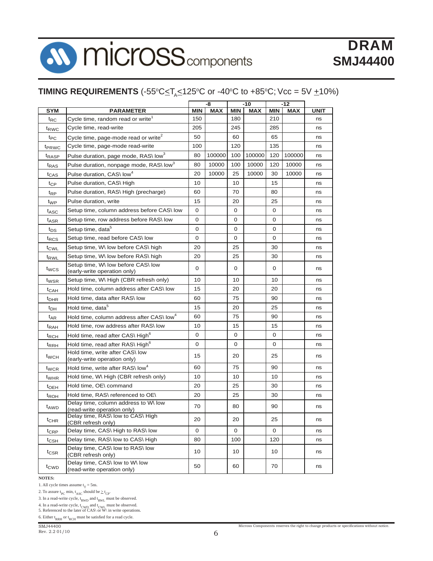# n, **AV MICrOSS** components

# DRAM **SMJ44400**

## **TIMING REQUIREMENTS** (-55°C $\leq$ T $_{\mathrm{A}}$  $\leq$ 125°C or -40°C to +85°C; Vcc = 5V  $\pm$ 10%)

|                   |                                                                     | -8         |            | $-10$      |            | $-12$ |            |             |
|-------------------|---------------------------------------------------------------------|------------|------------|------------|------------|-------|------------|-------------|
| SYM               | <b>PARAMETER</b>                                                    | <b>MIN</b> | <b>MAX</b> | <b>MIN</b> | <b>MAX</b> | MIN   | <b>MAX</b> | <b>UNIT</b> |
| $t_{RC}$          | Cycle time, random read or write <sup>1</sup>                       | 150        |            | 180        |            | 210   |            | ns          |
| t <sub>RWC</sub>  | Cycle time, read-write                                              | 205        |            | 245        |            | 285   |            | ns          |
| $t_{PC}$          | Cycle time, page-mode read or write <sup>2</sup>                    | 50         |            | 60         |            | 65    |            | ns          |
| t <sub>PRWC</sub> | Cycle time, page-mode read-write                                    | 100        |            | 120        |            | 135   |            | ns          |
| t <sub>RASP</sub> | Pulse duration, page mode, RAS\ low <sup>3</sup>                    | 80         | 100000     | 100        | 100000     | 120   | 100000     | ns          |
| t <sub>RAS</sub>  | Pulse duration, nonpage mode, RAS\low <sup>3</sup>                  | 80         | 10000      | 100        | 10000      | 120   | 10000      | ns          |
| t <sub>CAS</sub>  | Pulse duration, CAS\ low4                                           | 20         | 10000      | 25         | 10000      | 30    | 10000      | ns          |
| $t_{CP}$          | Pulse duration, CAS\ High                                           | 10         |            | 10         |            | 15    |            | ns          |
| t <sub>RP</sub>   | Pulse duration, RAS\ High (precharge)                               | 60         |            | 70         |            | 80    |            | ns          |
| t <sub>WP</sub>   | Pulse duration, write                                               | 15         |            | 20         |            | 25    |            | ns          |
| t <sub>ASC</sub>  | Setup time, column address before CAS\low                           | 0          |            | 0          |            | 0     |            | ns          |
| t <sub>ASR</sub>  | Setup time, row address before RAS\ low                             | 0          |            | 0          |            | 0     |            | ns          |
| $t_{DS}$          | Setup time, data <sup>5</sup>                                       | 0          |            | 0          |            | 0     |            | ns          |
| t <sub>RCS</sub>  | Setup time, read before CAS\ low                                    | 0          |            | 0          |            | 0     |            | ns          |
| $t_{\text{CWL}}$  | Setup time, W\ low before CAS\ high                                 | 20         |            | 25         |            | 30    |            | ns          |
| t <sub>RWL</sub>  | Setup time, W\ low before RAS\ high                                 | 20         |            | 25         |            | 30    |            | ns          |
| t <sub>wcs</sub>  | Setup time, W\ low before CAS\ low<br>(early-write operation only)  | 0          |            | 0          |            | 0     |            | ns          |
| t <sub>WSR</sub>  | Setup time, W\ High (CBR refresh only)                              | 10         |            | 10         |            | 10    |            | ns          |
| $t_{CAH}$         | Hold time, column address after CAS\low                             | 15         |            | 20         |            | 20    |            | ns          |
| $t_{DHR}$         | Hold time, data after RAS\ low                                      | 60         |            | 75         |            | 90    |            | ns          |
| t <sub>DH</sub>   | Hold time, data <sup>5</sup>                                        | 15         |            | 20         |            | 25    |            | ns          |
| $t_{AR}$          | Hold time, column address after CAS\low <sup>4</sup>                | 60         |            | 75         |            | 90    |            | ns          |
| <sup>t</sup> RAH  | Hold time, row address after RAS\ low                               | 10         |            | 15         |            | 15    |            | ns          |
| <sup>t</sup> RCH  | Hold time, read after CAS\ High <sup>6</sup>                        | 0          |            | 0          |            | 0     |            | ns          |
| <sup>t</sup> RRH  | Hold time, read after RAS\ High <sup>6</sup>                        | 0          |            | 0          |            | 0     |            | ns          |
| t <sub>WCH</sub>  | Hold time, write after CAS\ low<br>(early-write operation only)     | 15         |            | 20         |            | 25    |            | ns          |
| t <sub>WCR</sub>  | Hold time, write after RAS\ low <sup>4</sup>                        | 60         |            | 75         |            | 90    |            | ns          |
| t <sub>WHR</sub>  | Hold time, W\ High (CBR refresh only)                               | 10         |            | 10         |            | 10    |            | ns          |
| $t_{\text{OEH}}$  | Hold time, OE\ command                                              | 20         |            | 25         |            | 30    |            | ns          |
| t <sub>ROH</sub>  | Hold time. RAS\ referenced to OE\                                   | 20         |            | 25         |            | 30    |            | ns          |
| t <sub>AWD</sub>  | Delay time, column address to W\ low<br>(read-write operation only) | 70         |            | 80         |            | 90    |            | ns          |
| t <sub>CHR</sub>  | Delay time, RAS\ low to CAS\ High<br>(CBR refresh only)             | 20         |            | 20         |            | 25    |            | ns          |
| $t_{CRP}$         | Delay time, CAS\ High to RAS\ low                                   | 0          |            | 0          |            | 0     |            | ns          |
| $t_{\text{CSH}}$  | Delay time, RAS\ low to CAS\ High                                   | 80         |            | 100        |            | 120   |            | ns          |
| $t_{\text{CSR}}$  | Delay time, CAS\ low to RAS\ low<br>(CBR refresh only)              | 10         |            | 10         |            | 10    |            | ns          |
| t <sub>CWD</sub>  | Delay time, CAS\ low to W\ low<br>(read-write operation only)       | 50         |            | 60         |            | 70    |            | ns          |

#### **NOTES:**

1. All cycle times assume  $t_T = 5$ ns.

2. To assure  $t_{PC}$  min,  $t_{ASC}$  should be  $\geq t_{CP}$ .

3. In a read-write cycle,  $t_{RWD}$  and  $t_{RWL}$  must be observed.

4. In a read-write cycle,  $t_{CWD}$  and  $t_{CWD}$  must be observed.<br>5. Referenced to the later of CAS\ or W\ in write operations.

6. Either  ${\rm t_{RRH}}$  or  ${\rm t_{RCH}}$  must be satisfied for a read cycle.

SMJ44400 Rev. 2.2 01/10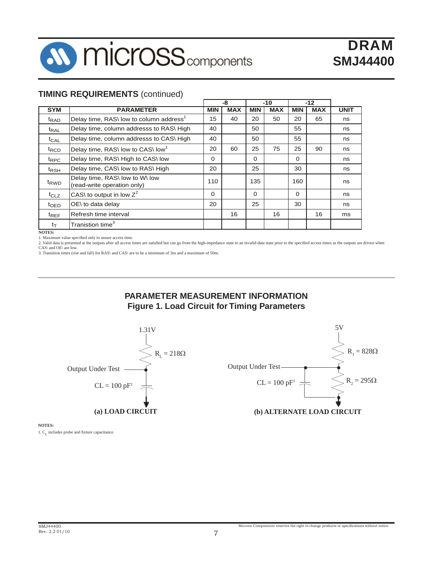

#### **TIMING REQUIREMENTS** (continued)

|                  |                                                               |            | -8<br>$-10$ |            | $-12$      |            |            |             |
|------------------|---------------------------------------------------------------|------------|-------------|------------|------------|------------|------------|-------------|
| <b>SYM</b>       | <b>PARAMETER</b>                                              | <b>MIN</b> | <b>MAX</b>  | <b>MIN</b> | <b>MAX</b> | <b>MIN</b> | <b>MAX</b> | <b>UNIT</b> |
| <sup>t</sup> RAD | Delay time, RAS\ low to column address <sup>1</sup>           | 15         | 40          | 20         | 50         | 20         | 65         | ns          |
| $t_{\text{RAL}}$ | Delay time, column addresss to RAS\ High                      | 40         |             | 50         |            | 55         |            | ns          |
| $t_{CAL}$        | Delay time, column addresss to CAS\ High                      | 40         |             | 50         |            | 55         |            | ns          |
| $t_{\text{RCD}}$ | Delay time, RAS\ low to CAS\ low <sup>1</sup>                 | 20         | 60          | 25         | 75         | 25         | 90         | ns          |
| $t_{\text{RPC}}$ | Delay time, RAS\ High to CAS\ low                             | $\Omega$   |             | $\Omega$   |            | $\Omega$   |            | ns          |
| t <sub>RSH</sub> | Delay time, CAS\ low to RAS\ High                             | 20         |             | 25         |            | 30         |            | ns          |
| t <sub>RWD</sub> | Delay time, RAS\ low to W\ low<br>(read-write operation only) | 110        |             | 135        |            | 160        |            | ns          |
| $t_{CLZ}$        | CAS\ to output in low $Z^2$                                   | $\Omega$   |             | $\Omega$   |            | $\Omega$   |            | ns          |
| t <sub>OED</sub> | OE\ to data delay                                             | 20         |             | 25         |            | 30         |            | ns          |
| $t_{REF}$        | Refresh time interval                                         |            | 16          |            | 16         |            | 16         | ms          |
| $t_T$            | Tranistion time $^3$                                          |            |             |            |            |            |            |             |

**NOTES:**

1. Maximum value specified only to assure access time.

2. Valid data is presented at the outputs after all access times are satisfied but can go from the high-impedance state to an invalid-data state prior to the specified access times as the outputs are driven when CAS\ and O

3. Transition times (rise and fall) for RAS\ and CAS\ are to be a minimum of 3ns and a maximum of 50ns.





**NOTES:**

1. C<sub>L</sub> includes probe and fixture capacitance.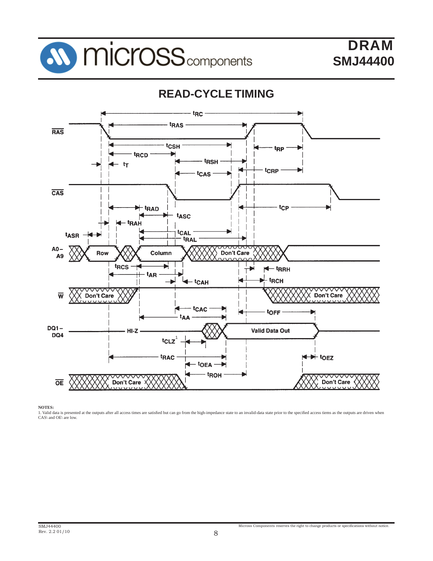

#### t<sub>RC</sub> t<sub>RAS</sub> **RAS** tcsH t<sub>RP</sub> t<sub>RCD</sub> t<sub>RSH</sub>  $tr$ tcRP tcas  $\overline{\text{CAS}}$ <sup>-</sup> t<sub>RAD</sub> t<sub>CP</sub> tasc **tRAH** tCAL t<sub>ASR</sub> **tRAL**  $A0-$ Row Column Don't Care A<sub>9</sub> t<sub>RCS</sub> ь <sup>- t</sup>RRH t<sub>AR</sub> t<sub>RCH</sub> <sup>t</sup>CAH  $\sqrt{}$  Don't Care  $\overline{\mathsf{w}}$ Don't Care tcac toFF <sup>t</sup>AA  $DQ1 -$ **Valid Data Out**  $HI-Z$ DQ4 tcLz  $\bigstar$  to EZ t<sub>RAC</sub> - toea troh ▽▽ ᠊ᢦ ▽ ▽▽  $\overline{OE}$ Don't Care Don't Care

## **READ-CYCLE TIMING**

**NOTES:**

1. Valid data is presented at the outputs after all access times are satisfied but can go from the high-impedance state to an invalid-data state prior to the specified access tiems as the outputs are driven when CAS\ and OE\ are low.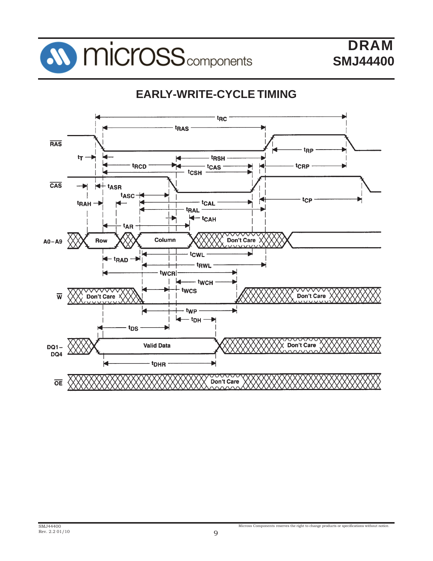

## **EARLY-WRITE-CYCLE TIMING**

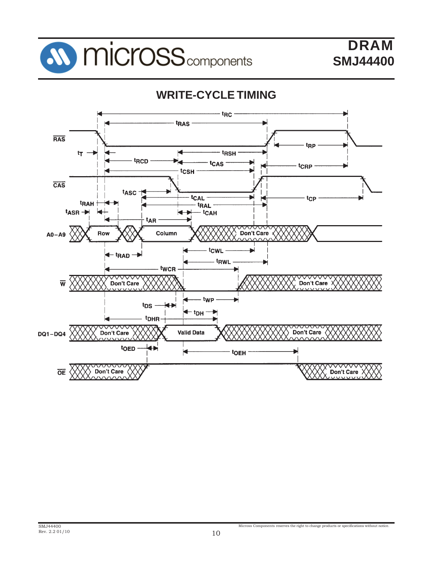



Micross Components reserves the right to change products or specifications without notice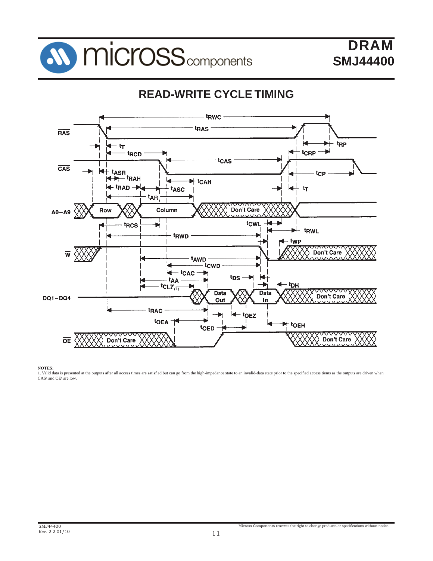

## **READ-WRITE CYCLE TIMING**



**NOTES:**

1. Valid data is presented at the outputs after all access times are satisfied but can go from the high-impedance state to an invalid-data state prior to the specified access tiems as the outputs are driven when CAS\ and OE\ are low.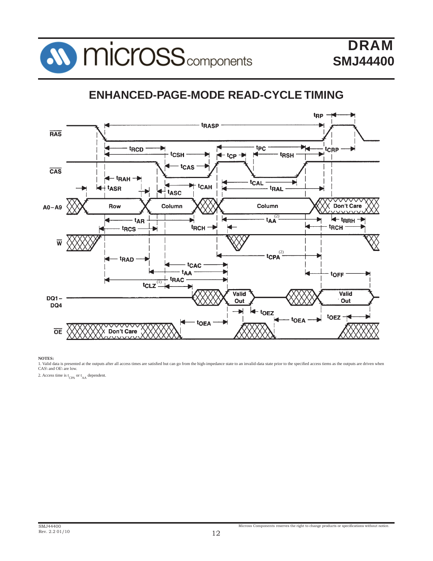

## **ENHANCED-PAGE-MODE READ-CYCLE TIMING**



NOTES:<br>1. Valid data is presented at the outputs after all access times are satisfied but can go from the high-impedance state to an invalid-data state prior to the specified access tiems as the outputs are driven when<br>CAS

2. Access time is  $t_{CPA}$  or  $t_{AA}$  dependent.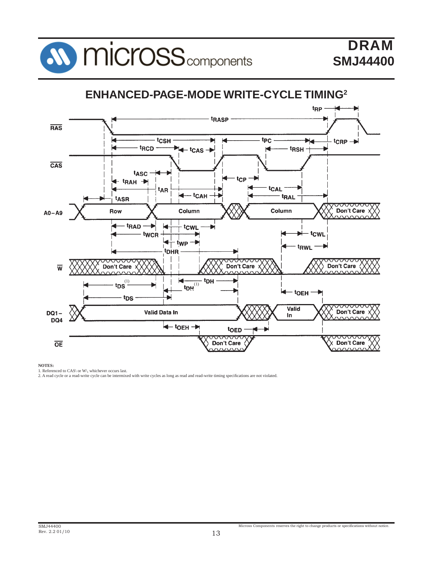



#### **NOTES:**

1. Referenced to CAS\ or W\, whichever occurs last. 2. A read cycle or a read-write cycle can be intermixed with write cycles as long as read and read-write timing specifi cations are not violated.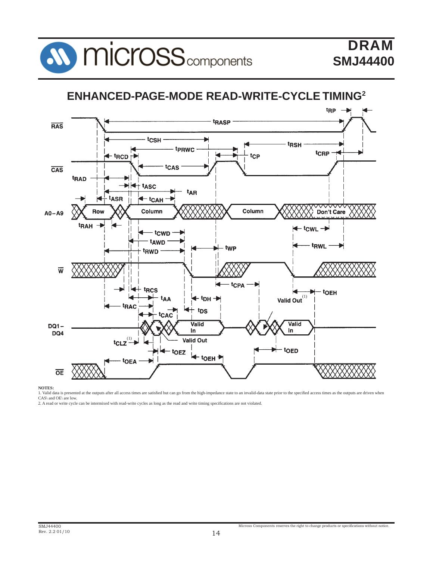

## **ENHANCED-PAGE-MODE READ-WRITE-CYCLE TIMING2**



**NOTES:**

1. Valid data is presented at the outputs after all access times are satisfied but can go from the high-impedance state to an invalid-data state prior to the specified access times as the outputs are driven when CAS\ and OE\ are low.

2. A read or write cycle can be intermixed with read-write cycles as long as the read and write timing specifications are not violated.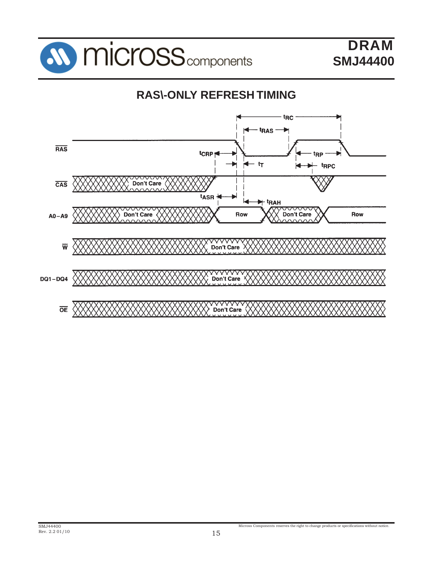

## **RAS\-ONLY REFRESH TIMING**

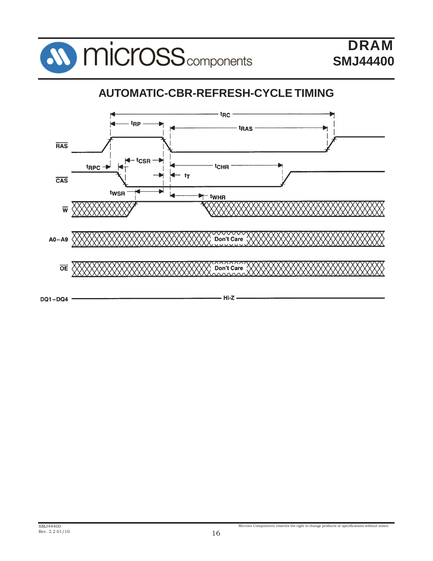

## **AUTOMATIC-CBR-REFRESH-CYCLE TIMING**

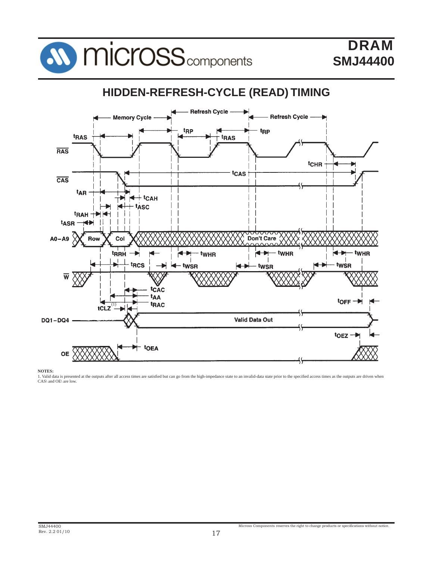

#### **HIDDEN-REFRESH-CYCLE (READ) TIMING Refresh Cycle** - Refresh Cycle **Memory Cycle** t<sub>RP</sub> t<sub>RP</sub> tras t<sub>RAS</sub> **RAS** t<sub>CHR</sub> tcas  $\overline{\text{CAS}}$ t<sub>AR</sub>  $+$ tcah H - tasc ◢ tRAH +> t<sub>ASR</sub>  $A0 - A9$ Don't Care Row Col **tRRH**  $\leftrightarrow$ twHR  $\overline{\phantom{a}}$ twHR ◀ twHR  $\mathbf{I}$ t<sub>RCS</sub> · twṡR  $\leftarrow$  twsn twsR  $\overline{w}$ **t**CAC tAA  $torr \rightarrow$ t<sub>RAC</sub> (1)**Valid Data Out DQ1-DQ4** toeztoEA **OE**

**NOTES:**

1. Valid data is presented at the outputs after all access times are satisfied but can go from the high-impedance state to an invalid-data state prior to the specified access times as the outputs are driven when CAS\ and OE\ are low.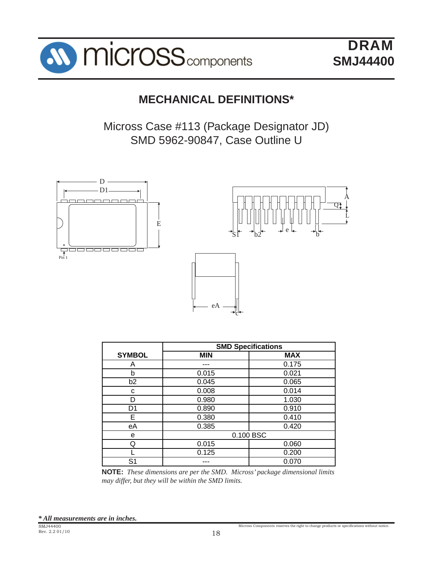

**DRAM SMJ44400**

A  $\overline{\text{Q}}$ t

L

## **MECHANICAL DEFINITIONS\***

Micross Case #113 (Package Designator JD) SMD 5962-90847, Case Outline U



|                | <b>SMD Specifications</b> |            |  |  |  |  |
|----------------|---------------------------|------------|--|--|--|--|
| <b>SYMBOL</b>  | <b>MIN</b>                | <b>MAX</b> |  |  |  |  |
| A              |                           | 0.175      |  |  |  |  |
| b              | 0.015                     | 0.021      |  |  |  |  |
| b2             | 0.045                     | 0.065      |  |  |  |  |
| с              | 0.008                     | 0.014      |  |  |  |  |
| D              | 0.980                     | 1.030      |  |  |  |  |
| D1             | 0.890                     | 0.910      |  |  |  |  |
| Е              | 0.380                     | 0.410      |  |  |  |  |
| eA             | 0.385                     | 0.420      |  |  |  |  |
| e              |                           | 0.100 BSC  |  |  |  |  |
| Q              | 0.015                     | 0.060      |  |  |  |  |
|                | 0.125                     | 0.200      |  |  |  |  |
| S <sub>1</sub> |                           | 0.070      |  |  |  |  |

**NOTE:** *These dimensions are per the SMD. Micross' package dimensional limits may differ, but they will be within the SMD limits.*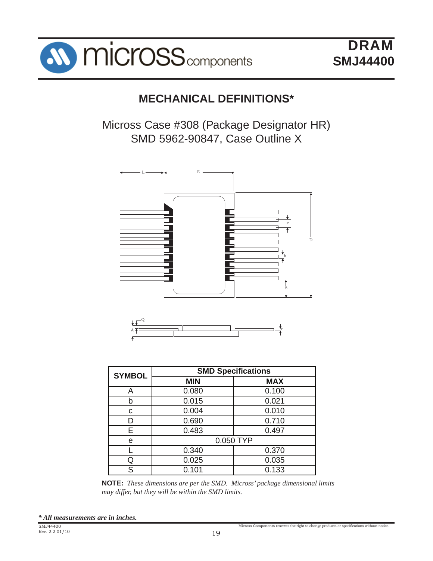

## **MECHANICAL DEFINITIONS\***

Micross Case #308 (Package Designator HR) SMD 5962-90847, Case Outline X





| <b>SYMBOL</b> | <b>SMD Specifications</b> |            |  |  |  |  |  |
|---------------|---------------------------|------------|--|--|--|--|--|
|               | <b>MIN</b>                | <b>MAX</b> |  |  |  |  |  |
| A             | 0.080                     | 0.100      |  |  |  |  |  |
| b             | 0.015                     | 0.021      |  |  |  |  |  |
| С             | 0.004                     | 0.010      |  |  |  |  |  |
| D             | 0.690                     | 0.710      |  |  |  |  |  |
| Е             | 0.483                     | 0.497      |  |  |  |  |  |
| е             |                           | 0.050 TYP  |  |  |  |  |  |
|               | 0.340                     | 0.370      |  |  |  |  |  |
| Q             | 0.025                     | 0.035      |  |  |  |  |  |
| S             | 0.101                     | 0.133      |  |  |  |  |  |

**NOTE:** *These dimensions are per the SMD. Micross' package dimensional limits may differ, but they will be within the SMD limits.*

*\* All measurements are in inches.*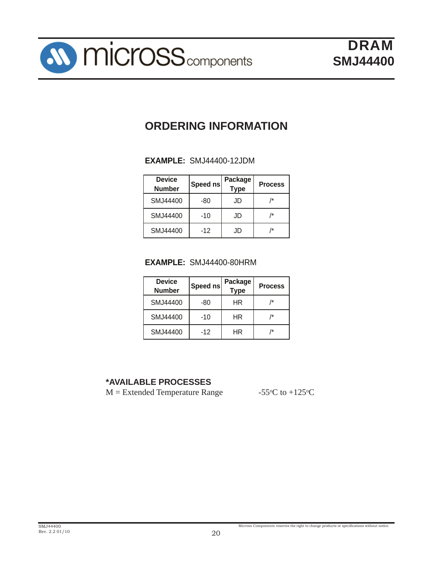## **ORDERING INFORMATION**

## **EXAMPLE:** SMJ44400-12JDM

| <b>Device</b><br><b>Number</b> | Speed ns | Package<br><b>Type</b> | <b>Process</b> |
|--------------------------------|----------|------------------------|----------------|
| SMJ44400                       | -80      | JD                     |                |
| SMJ44400                       | -10      | JD                     |                |
| SMJ44400                       | $-12$    | JD                     | /*             |

## **EXAMPLE:** SMJ44400-80HRM

| <b>Device</b><br><b>Number</b> | Speed ns | Package<br><b>Type</b> | <b>Process</b> |
|--------------------------------|----------|------------------------|----------------|
| SMJ44400                       | -80      | ΗR                     | /*             |
| SMJ44400                       | -10      | ΗR                     | /*             |
| SMJ44400                       | $-12$    | ΗR                     | /*             |

## **\*AVAILABLE PROCESSES**

 $M =$  Extended Temperature Range

C to  $+125$ <sup>o</sup>C